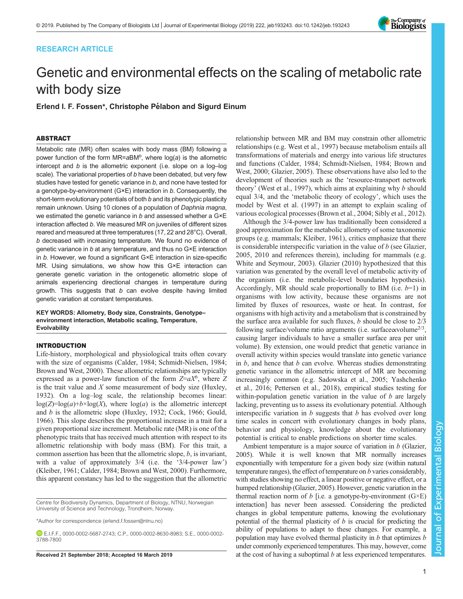# RESEARCH ARTICLE

# The Company of<br>**Biologists**

# Genetic and environmental effects on the scaling of metabolic rate with body size

Erlend I. F. Fossen\*, Christophe Pélabon and Sigurd Einum

# ABSTRACT

Metabolic rate (MR) often scales with body mass (BM) following a power function of the form MR=aBM<sup>b</sup>, where  $log(a)$  is the allometric intercept and b is the allometric exponent (i.e. slope on a log–log scale). The variational properties of b have been debated, but very few studies have tested for genetic variance in  $b$ , and none have tested for a genotype-by-environment (G×E) interaction in b. Consequently, the short-term evolutionary potentials of both b and its phenotypic plasticity remain unknown. Using 10 clones of a population of Daphnia magna, we estimated the genetic variance in  $b$  and assessed whether a  $G \times E$ interaction affected b. We measured MR on juveniles of different sizes reared and measured at three temperatures (17, 22 and 28°C). Overall, b decreased with increasing temperature. We found no evidence of genetic variance in b at any temperature, and thus no G×E interaction in b. However, we found a significant G×E interaction in size-specific MR. Using simulations, we show how this G×E interaction can generate genetic variation in the ontogenetic allometric slope of animals experiencing directional changes in temperature during growth. This suggests that  $b$  can evolve despite having limited genetic variation at constant temperatures.

KEY WORDS: Allometry, Body size, Constraints, Genotype– environment interaction, Metabolic scaling, Temperature, **Evolvability** 

# INTRODUCTION

Life-history, morphological and physiological traits often covary with the size of organisms ([Calder, 1984](#page-5-0); [Schmidt-Nielsen, 1984](#page-6-0); [Brown and West, 2000\)](#page-5-0). These allometric relationships are typically expressed as a power-law function of the form  $Z=aX^b$ , where Z is the trait value and  $X$  some measurement of body size [\(Huxley,](#page-6-0) [1932](#page-6-0)). On a log–log scale, the relationship becomes linear:  $log(Z)=log(a)+b\times log(X)$ , where  $log(a)$  is the allometric intercept and b is the allometric slope [\(Huxley, 1932](#page-6-0); [Cock, 1966; Gould,](#page-6-0) [1966](#page-6-0)). This slope describes the proportional increase in a trait for a given proportional size increment. Metabolic rate (MR) is one of the phenotypic traits that has received much attention with respect to its allometric relationship with body mass (BM). For this trait, a common assertion has been that the allometric slope,  $b$ , is invariant, with a value of approximately  $3/4$  (i.e. the '3/4-power law') [\(Kleiber, 1961](#page-6-0); [Calder, 1984; Brown and West, 2000\)](#page-5-0). Furthermore, this apparent constancy has led to the suggestion that the allometric

Centre for Biodiversity Dynamics, Department of Biology, NTNU, Norwegian University of Science and Technology, Trondheim, Norway.

\*Author for correspondence [\(erlend.f.fossen@ntnu.no\)](mailto:erlend.f.fossen@ntnu.no)

E.I.F.F., [0000-0002-5687-2743;](http://orcid.org/0000-0002-5687-2743) C.P., [0000-0002-8630-8983;](http://orcid.org/0000-0002-8630-8983) S.E., [0000-0002-](http://orcid.org/0000-0002-3788-7800) [3788-7800](http://orcid.org/0000-0002-3788-7800)

relationship between MR and BM may constrain other allometric relationships (e.g. [West et al., 1997](#page-6-0)) because metabolism entails all transformations of materials and energy into various life structures and functions ([Calder, 1984;](#page-5-0) [Schmidt-Nielsen, 1984](#page-6-0); [Brown and](#page-5-0) [West, 2000](#page-5-0); [Glazier, 2005](#page-6-0)). These observations have also led to the development of theories such as the 'resource-transport network theory' ([West et al., 1997\)](#page-6-0), which aims at explaining why  $b$  should equal 3/4, and the 'metabolic theory of ecology', which uses the model by [West et al. \(1997\)](#page-6-0) in an attempt to explain scaling of various ecological processes [\(Brown et al., 2004](#page-5-0); [Sibly et al., 2012\)](#page-6-0).

Although the 3/4-power law has traditionally been considered a good approximation for the metabolic allometry of some taxonomic groups (e.g. mammals; [Kleiber, 1961](#page-6-0)), critics emphasize that there is considerable interspecific variation in the value of b (see [Glazier,](#page-6-0) [2005, 2010](#page-6-0) and references therein), including for mammals (e.g. [White and Seymour, 2003](#page-6-0)). [Glazier \(2010\)](#page-6-0) hypothesized that this variation was generated by the overall level of metabolic activity of the organism (i.e. the metabolic-level boundaries hypothesis). Accordingly, MR should scale proportionally to BM (i.e.  $b=1$ ) in organisms with low activity, because these organisms are not limited by fluxes of resources, waste or heat. In contrast, for organisms with high activity and a metabolism that is constrained by the surface area available for such fluxes,  $b$  should be close to  $2/3$ following surface/volume ratio arguments (i.e. surface∝volume<sup>2/3</sup>, causing larger individuals to have a smaller surface area per unit volume). By extension, one would predict that genetic variance in overall activity within species would translate into genetic variance in  $b$ , and hence that  $b$  can evolve. Whereas studies demonstrating genetic variance in the allometric intercept of MR are becoming increasingly common (e.g. [Sadowska et al., 2005](#page-6-0); [Yashchenko](#page-6-0) [et al., 2016; Pettersen et al., 2018](#page-6-0)), empirical studies testing for within-population genetic variation in the value of  $b$  are largely lacking, preventing us to assess its evolutionary potential. Although interspecific variation in  $b$  suggests that  $b$  has evolved over long time scales in concert with evolutionary changes in body plans, behavior and physiology, knowledge about the evolutionary potential is critical to enable predictions on shorter time scales.

Ambient temperature is a major source of variation in  $b$  [\(Glazier,](#page-6-0) [2005](#page-6-0)). While it is well known that MR normally increases exponentially with temperature for a given body size (within natural temperature ranges), the effect of temperature on b varies considerably, with studies showing no effect, a linear positive or negative effect, or a humped relationship [\(Glazier, 2005](#page-6-0)). However, genetic variation in the thermal reaction norm of b [i.e. a genotype-by-environment  $(G \times E)$ interaction] has never been assessed. Considering the predicted changes in global temperature patterns, knowing the evolutionary potential of the thermal plasticity of  $b$  is crucial for predicting the ability of populations to adapt to these changes. For example, a population may have evolved thermal plasticity in  $b$  that optimizes  $b$ under commonly experienced temperatures. This may, however, come Received 21 September 2018; Accepted 16 March 2019 at the cost of having a suboptimal b at less experienced temperatures.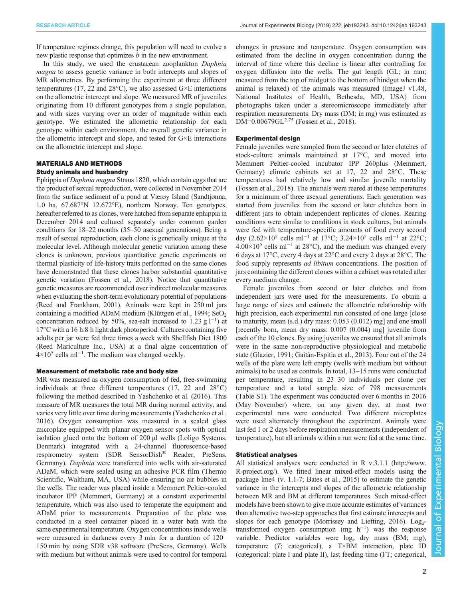If temperature regimes change, this population will need to evolve a new plastic response that optimizes b in the new environment.

In this study, we used the crustacean zooplankton Daphnia magna to assess genetic variance in both intercepts and slopes of MR allometries. By performing the experiment at three different temperatures (17, 22 and 28°C), we also assessed G×E interactions on the allometric intercept and slope. We measured MR of juveniles originating from 10 different genotypes from a single population, and with sizes varying over an order of magnitude within each genotype. We estimated the allometric relationship for each genotype within each environment, the overall genetic variance in the allometric intercept and slope, and tested for G×E interactions on the allometric intercept and slope.

# MATERIALS AND METHODS

# Study animals and husbandry

Ephippia of Daphnia magna Straus 1820, which contain eggs that are the product of sexual reproduction, were collected in November 2014 from the surface sediment of a pond at Værøy Island (Sandtjønna, 1.0 ha, 67.687°N 12.672°E), northern Norway. Ten genotypes, hereafter referred to as clones, were hatched from separate ephippia in December 2014 and cultured separately under common garden conditions for 18–22 months (35–50 asexual generations). Being a result of sexual reproduction, each clone is genetically unique at the molecular level. Although molecular genetic variation among these clones is unknown, previous quantitative genetic experiments on thermal plasticity of life-history traits performed on the same clones have demonstrated that these clones harbor substantial quantitative genetic variation [\(Fossen et al., 2018\)](#page-6-0). Notice that quantitative genetic measures are recommended over indirect molecular measures when evaluating the short-term evolutionary potential of populations [\(Reed and Frankham, 2001\)](#page-6-0). Animals were kept in 250 ml jars containing a modified ADaM medium ([Klüttgen et al., 1994](#page-6-0);  $SeO<sub>2</sub>$ ) concentration reduced by 50%, sea-salt increased to 1.23 g  $l^{-1}$ ) at 17°C with a 16 h:8 h light:dark photoperiod. Cultures containing five adults per jar were fed three times a week with Shellfish Diet 1800 (Reed Mariculture Inc., USA) at a final algae concentration of 4×10<sup>5</sup> cells ml<sup>-1</sup>. The medium was changed weekly.

#### Measurement of metabolic rate and body size

MR was measured as oxygen consumption of fed, free-swimming individuals at three different temperatures (17, 22 and 28°C) following the method described in [Yashchenko et al. \(2016\).](#page-6-0) This measure of MR measures the total MR during normal activity, and varies very little over time during measurements ([Yashchenko et al.,](#page-6-0) [2016](#page-6-0)). Oxygen consumption was measured in a sealed glass microplate equipped with planar oxygen sensor spots with optical isolation glued onto the bottom of 200 µl wells (Loligo Systems, Denmark) integrated with a 24-channel fluorescence-based respirometry system (SDR SensorDish® Reader, PreSens, Germany). Daphnia were transferred into wells with air-saturated ADaM, which were sealed using an adhesive PCR film (Thermo Scientific, Waltham, MA, USA) while ensuring no air bubbles in the wells. The reader was placed inside a Memmert Peltier-cooled incubator IPP (Memmert, Germany) at a constant experimental temperature, which was also used to temperate the equipment and ADaM prior to measurements. Preparation of the plate was conducted in a steel container placed in a water bath with the same experimental temperature. Oxygen concentrations inside wells were measured in darkness every 3 min for a duration of 120– 150 min by using SDR v38 software (PreSens, Germany). Wells with medium but without animals were used to control for temporal

changes in pressure and temperature. Oxygen consumption was estimated from the decline in oxygen concentration during the interval of time where this decline is linear after controlling for oxygen diffusion into the wells. The gut length (GL; in mm; measured from the top of midgut to the bottom of hindgut when the animal is relaxed) of the animals was measured (ImageJ v1.48, National Institutes of Health, Bethesda, MD, USA) from photographs taken under a stereomicroscope immediately after respiration measurements. Dry mass (DM; in mg) was estimated as  $DM=0.00679GL<sup>2.75</sup>$  [\(Fossen et al., 2018\)](#page-6-0).

# Experimental design

Female juveniles were sampled from the second or later clutches of stock-culture animals maintained at 17°C, and moved into Memmert Peltier-cooled incubator IPP 260plus (Memmert, Germany) climate cabinets set at 17, 22 and 28°C. These temperatures had relatively low and similar juvenile mortality [\(Fossen et al., 2018\)](#page-6-0). The animals were reared at these temperatures for a minimum of three asexual generations. Each generation was started from juveniles from the second or later clutches born in different jars to obtain independent replicates of clones. Rearing conditions were similar to conditions in stock cultures, but animals were fed with temperature-specific amounts of food every second day (2.62×10<sup>5</sup> cells ml<sup>-1</sup> at 17°C; 3.24×10<sup>5</sup> cells ml<sup>-1</sup> at 22°C; 4.00×10<sup>5</sup> cells ml−<sup>1</sup> at 28°C), and the medium was changed every 6 days at 17°C, every 4 days at 22°C and every 2 days at 28°C. The food supply represents ad libitum concentrations. The position of jars containing the different clones within a cabinet was rotated after every medium change.

Female juveniles from second or later clutches and from independent jars were used for the measurements. To obtain a large range of sizes and estimate the allometric relationship with high precision, each experimental run consisted of one large [close to maturity, mean (s.d.) dry mass: 0.053 (0.012) mg] and one small [recently born, mean dry mass: 0.007 (0.004) mg] juvenile from each of the 10 clones. By using juveniles we ensured that all animals were in the same non-reproductive physiological and metabolic state [\(Glazier, 1991](#page-6-0); [Gaitán-Espitia et al., 2013\)](#page-6-0). Four out of the 24 wells of the plate were left empty (wells with medium but without animals) to be used as controls. In total, 13–15 runs were conducted per temperature, resulting in 23–30 individuals per clone per temperature and a total sample size of 798 measurements [\(Table S1](http://jeb.biologists.org/lookup/doi/10.1242/jeb.193243.supplemental)). The experiment was conducted over 6 months in 2016 (May–November) where, on any given day, at most two experimental runs were conducted. Two different microplates were used alternately throughout the experiment. Animals were last fed 1 or 2 days before respiration measurements (independent of temperature), but all animals within a run were fed at the same time.

### Statistical analyses

All statistical analyses were conducted in R v.3.1.1 ([http://www.](http://www.R-project.org) [R-project.org](http://www.R-project.org)/). We fitted linear mixed-effect models using the package lme4 (v. 1.1-7; [Bates et al., 2015](#page-5-0)) to estimate the genetic variance in the intercepts and slopes of the allometric relationship between MR and BM at different temperatures. Such mixed-effect models have been shown to give more accurate estimates of variances than alternative two-step approaches that first estimate intercepts and slopes for each genotype ([Morrissey and Liefting, 2016\)](#page-6-0). Log<sub>e</sub>transformed oxygen consumption (mg h−<sup>1</sup> ) was the response variable. Predictor variables were loge dry mass (BM; mg), temperature  $(T; \text{categorical})$ , a T×BM interaction, plate ID (categorical: plate I and plate II), last feeding time (FT; categorical,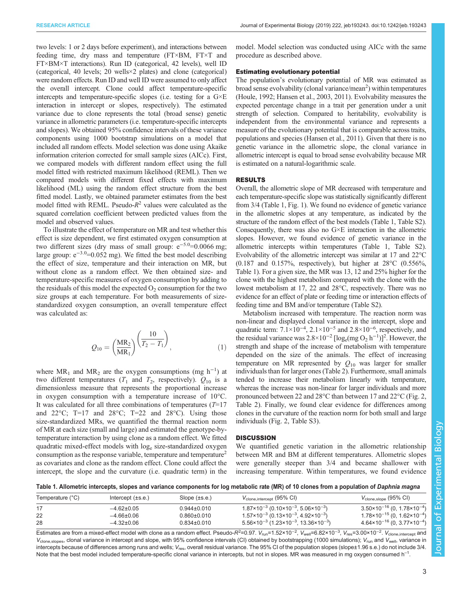two levels: 1 or 2 days before experiment), and interactions between feeding time, dry mass and temperature (FT×BM, FT×T and FT×BM×T interactions). Run ID (categorical, 42 levels), well ID (categorical, 40 levels; 20 wells×2 plates) and clone (categorical) were random effects. Run ID and well ID were assumed to only affect the overall intercept. Clone could affect temperature-specific intercepts and temperature-specific slopes (i.e. testing for a G×E interaction in intercept or slopes, respectively). The estimated variance due to clone represents the total (broad sense) genetic variance in allometric parameters (i.e. temperature-specific intercepts and slopes). We obtained 95% confidence intervals of these variance components using 1000 bootstrap simulations on a model that included all random effects. Model selection was done using Akaike information criterion corrected for small sample sizes (AICc). First, we compared models with different random effect using the full model fitted with restricted maximum likelihood (REML). Then we compared models with different fixed effects with maximum likelihood (ML) using the random effect structure from the best fitted model. Lastly, we obtained parameter estimates from the best model fitted with REML. Pseudo- $R^2$  values were calculated as the squared correlation coefficient between predicted values from the model and observed values.

To illustrate the effect of temperature on MR and test whether this effect is size dependent, we first estimated oxygen consumption at two different sizes (dry mass of small group: e<sup>−</sup>5.0=0.0066 mg; large group:  $e^{-3.0}$ =0.052 mg). We fitted the best model describing the effect of size, temperature and their interaction on MR, but without clone as a random effect. We then obtained size- and temperature-specific measures of oxygen consumption by adding to the residuals of this model the expected  $O_2$  consumption for the two size groups at each temperature. For both measurements of sizestandardized oxygen consumption, an overall temperature effect was calculated as:

$$
Q_{10} = \left(\frac{\text{MR}_2}{\text{MR}_1}\right) \left(\frac{10}{T_2 - T_1}\right),\tag{1}
$$

where  $MR_1$  and  $MR_2$  are the oxygen consumptions (mg h<sup>-1</sup>) at two different temperatures ( $T_1$  and  $T_2$ , respectively).  $Q_{10}$  is a dimensionless measure that represents the proportional increase in oxygen consumption with a temperature increase of 10°C. It was calculated for all three combinations of temperatures  $(T=17)$ and  $22^{\circ}$ C; T=17 and  $28^{\circ}$ C; T=22 and  $28^{\circ}$ C). Using those size-standardized MRs, we quantified the thermal reaction norm of MR at each size (small and large) and estimated the genotype-bytemperature interaction by using clone as a random effect. We fitted quadratic mixed-effect models with loge size-standardized oxygen consumption as the response variable, temperature and temperature<sup>2</sup> as covariates and clone as the random effect. Clone could affect the intercept, the slope and the curvature (i.e. quadratic term) in the model. Model selection was conducted using AICc with the same procedure as described above.

#### Estimating evolutionary potential

The population's evolutionary potential of MR was estimated as broad sense evolvability (clonal variance/mean<sup>2</sup>) within temperatures [\(Houle, 1992](#page-6-0); [Hansen et al., 2003](#page-6-0), [2011\)](#page-6-0). Evolvability measures the expected percentage change in a trait per generation under a unit strength of selection. Compared to heritability, evolvability is independent from the environmental variance and represents a measure of the evolutionary potential that is comparable across traits, populations and species [\(Hansen et al., 2011\)](#page-6-0). Given that there is no genetic variance in the allometric slope, the clonal variance in allometric intercept is equal to broad sense evolvability because MR is estimated on a natural-logarithmic scale.

### RESULTS

Overall, the allometric slope of MR decreased with temperature and each temperature-specific slope was statistically significantly different from 3/4 (Table 1, [Fig. 1](#page-3-0)). We found no evidence of genetic variance in the allometric slopes at any temperature, as indicated by the structure of the random effect of the best models (Table 1, [Table S2\)](http://jeb.biologists.org/lookup/doi/10.1242/jeb.193243.supplemental). Consequently, there was also no G×E interaction in the allometric slopes. However, we found evidence of genetic variance in the allometric intercepts within temperatures (Table 1, [Table S2\)](http://jeb.biologists.org/lookup/doi/10.1242/jeb.193243.supplemental). Evolvability of the allometric intercept was similar at 17 and 22°C  $(0.187$  and  $0.157\%$ , respectively), but higher at  $28^{\circ}$ C  $(0.556\%$ , Table 1). For a given size, the MR was 13, 12 and 25% higher for the clone with the highest metabolism compared with the clone with the lowest metabolism at 17, 22 and 28°C, respectively. There was no evidence for an effect of plate or feeding time or interaction effects of feeding time and BM and/or temperature ([Table S2\)](http://jeb.biologists.org/lookup/doi/10.1242/jeb.193243.supplemental).

Metabolism increased with temperature. The reaction norm was non-linear and displayed clonal variance in the intercept, slope and quadratic term:  $7.1 \times 10^{-4}$ ,  $2.1 \times 10^{-5}$  and  $2.8 \times 10^{-6}$ , respectively, and the residual variance was  $2.8 \times 10^{-2}$  [log<sub>e</sub>(mg O<sub>2</sub> h<sup>-1</sup>)]<sup>2</sup>. However, the strength and shape of the increase of metabolism with temperature depended on the size of the animals. The effect of increasing temperature on MR represented by  $Q_{10}$  was larger for smaller individuals than for larger ones ([Table 2\)](#page-3-0). Furthermore, small animals tended to increase their metabolism linearly with temperature, whereas the increase was non-linear for larger individuals and more pronounced between 22 and 28°C than between 17 and 22°C [\(Fig. 2,](#page-3-0) [Table 2](#page-3-0)). Finally, we found clear evidence for differences among clones in the curvature of the reaction norm for both small and large individuals ([Fig. 2](#page-3-0), [Table S3\)](http://jeb.biologists.org/lookup/doi/10.1242/jeb.193243.supplemental).

# **DISCUSSION**

We quantified genetic variation in the allometric relationship between MR and BM at different temperatures. Allometric slopes were generally steeper than 3/4 and became shallower with increasing temperature. Within temperatures, we found evidence

Table 1. Allometric intercepts, slopes and variance components for log metabolic rate (MR) of 10 clones from a population of Daphnia magna

| Temperature (°C) | Intercept $(\pm s.e.)$ | Slope $(\pm s.e.)$ | $V_{\text{clone}, \text{intercept}}$ (95% CI)                                            | $V_{\text{clone,slope}}$ (95% CI)                  |
|------------------|------------------------|--------------------|------------------------------------------------------------------------------------------|----------------------------------------------------|
|                  | $-4.62 \pm 0.05$       | $0.944 \pm 0.010$  | $1.87 \times 10^{-3}$ (0.10 $\times$ 10 <sup>-3</sup> , 5.06 $\times$ 10 <sup>-3</sup> ) | $3.50 \times 10^{-16}$ (0, 1.78×10 <sup>-4</sup> ) |
|                  | $-4.66 \pm 0.06$       | $0.860 \pm 0.010$  | $1.57 \times 10^{-3}$ (0.13 $\times$ 10 <sup>-3</sup> , 4.92 $\times$ 10 <sup>-3</sup> ) | $1.78 \times 10^{-15}$ (0, $1.62 \times 10^{-4}$ ) |
| 28               | $-4.32 \pm 0.06$       | $0.834 \pm 0.010$  | $5.56 \times 10^{-3}$ (1.23×10 <sup>-3</sup> , 13.36×10 <sup>-3</sup> )                  | $4.64 \times 10^{-16}$ (0, 3.77×10 <sup>-4</sup> ) |

Estimates are from a mixed-effect model with clone as a random effect. Pseudo-R<sup>2</sup>=0.97. V<sub>run</sub>=1.52×10<sup>-2</sup>, V<sub>well</sub>=6.82×10<sup>-3</sup>, V<sub>res</sub>=3.00×10<sup>-2</sup>. V<sub>clone,intercept</sub> and  $V_{\text{clone,slopes}}$ , clonal variance in intercept and slope, with 95% confidence intervals (CI) obtained by bootstrapping (1000 simulations);  $V_{\text{run}}$  and  $V_{\text{well}}$ , variance in intercepts because of differences among runs and wells;  $V_{\rm res}$ , overall residual variance. The 95% CI of the population slopes (slope±1.96 s.e.) do not include 3/4 Note that the best model included temperature-specific clonal variance in intercepts, but not in slopes. MR was measured in mg oxygen consumed h<sup>-1</sup>.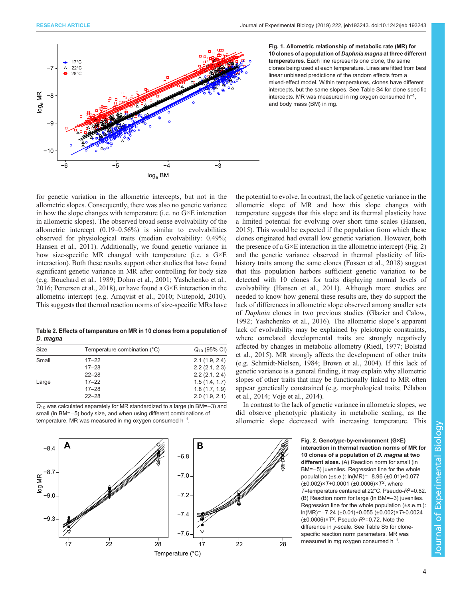<span id="page-3-0"></span>

Fig. 1. Allometric relationship of metabolic rate (MR) for 10 clones of a population of Daphnia magna at three different temperatures. Each line represents one clone, the same clones being used at each temperature. Lines are fitted from best linear unbiased predictions of the random effects from a mixed-effect model. Within temperatures, clones have different intercepts, but the same slopes. See [Table S4](http://jeb.biologists.org/lookup/doi/10.1242/jeb.193243.supplemental) for clone specific intercepts. MR was measured in mg oxygen consumed  $h^{-1}$ , and body mass (BM) in mg.

for genetic variation in the allometric intercepts, but not in the allometric slopes. Consequently, there was also no genetic variance in how the slope changes with temperature (i.e. no G×E interaction in allometric slopes). The observed broad sense evolvability of the allometric intercept (0.19–0.56%) is similar to evolvabilities observed for physiological traits (median evolvability: 0.49%; [Hansen et al., 2011](#page-6-0)). Additionally, we found genetic variance in how size-specific MR changed with temperature (i.e. a G×E interaction). Both these results support other studies that have found significant genetic variance in MR after controlling for body size (e.g. [Bouchard et al., 1989;](#page-5-0) [Dohm et al., 2001; Yashchenko et al.,](#page-6-0) [2016](#page-6-0); [Pettersen et al., 2018\)](#page-6-0), or have found a G×E interaction in the allometric intercept (e.g. [Arnqvist et al., 2010;](#page-5-0) [Niitepold, 2010\)](#page-6-0). This suggests that thermal reaction norms of size-specific MRs have

Table 2. Effects of temperature on MR in 10 clones from a population of

| Size  | Temperature combination (°C) | $Q_{10}$ (95% CI) |  |  |
|-------|------------------------------|-------------------|--|--|
| Small | $17 - 22$                    | 2.1(1.9, 2.4)     |  |  |
|       | $17 - 28$                    | 2.2(2.1, 2.3)     |  |  |
|       | $22 - 28$                    | 2.2(2.1, 2.4)     |  |  |
| Large | $17 - 22$                    | 1.5(1.4, 1.7)     |  |  |
|       | $17 - 28$                    | 1.8(1.7, 1.9)     |  |  |
|       | $22 - 28$                    | 2.0(1.9, 2.1)     |  |  |
|       |                              |                   |  |  |

Q<sub>10</sub> was calculated separately for MR standardized to a large (ln BM=-3) and small (ln BM=−5) body size, and when using different combinations of temperature. MR was measured in mg oxygen consumed  $h^{-1}$ .

the potential to evolve. In contrast, the lack of genetic variance in the allometric slope of MR and how this slope changes with temperature suggests that this slope and its thermal plasticity have a limited potential for evolving over short time scales [\(Hansen,](#page-6-0) [2015\)](#page-6-0). This would be expected if the population from which these clones originated had overall low genetic variation. However, both the presence of a  $G \times E$  interaction in the allometric intercept (Fig. 2) and the genetic variance observed in thermal plasticity of lifehistory traits among the same clones ([Fossen et al., 2018\)](#page-6-0) suggest that this population harbors sufficient genetic variation to be detected with 10 clones for traits displaying normal levels of evolvability ([Hansen et al., 2011\)](#page-6-0). Although more studies are needed to know how general these results are, they do support the lack of differences in allometric slope observed among smaller sets of Daphnia clones in two previous studies [\(Glazier and Calow,](#page-6-0) [1992; Yashchenko et al., 2016](#page-6-0)). The allometric slope's apparent lack of evolvability may be explained by pleiotropic constraints, where correlated developmental traits are strongly negatively affected by changes in metabolic allometry ([Riedl, 1977;](#page-6-0) [Bolstad](#page-5-0) [et al., 2015](#page-5-0)). MR strongly affects the development of other traits (e.g. [Schmidt-Nielsen, 1984;](#page-6-0) [Brown et al., 2004\)](#page-5-0). If this lack of genetic variance is a general finding, it may explain why allometric slopes of other traits that may be functionally linked to MR often appear genetically constrained (e.g. morphological traits; [Pélabon](#page-6-0) [et al., 2014; Voje et al., 2014](#page-6-0)).

In contrast to the lack of genetic variance in allometric slopes, we did observe phenotypic plasticity in metabolic scaling, as the allometric slope decreased with increasing temperature. This



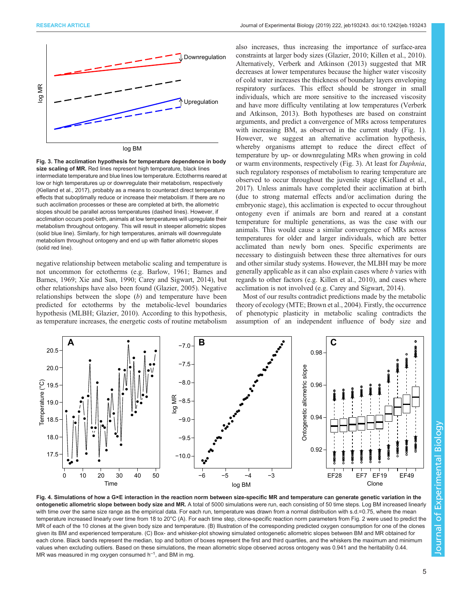<span id="page-4-0"></span>

log BM

Fig. 3. The acclimation hypothesis for temperature dependence in body size scaling of MR. Red lines represent high temperature, black lines intermediate temperature and blue lines low temperature. Ectotherms reared at low or high temperatures up or downregulate their metabolism, respectively [\(Kielland et al., 2017\)](#page-6-0), probably as a means to counteract direct temperature effects that suboptimally reduce or increase their metabolism. If there are no such acclimation processes or these are completed at birth, the allometric slopes should be parallel across temperatures (dashed lines). However, if acclimation occurs post-birth, animals at low temperatures will upregulate their metabolism throughout ontogeny. This will result in steeper allometric slopes (solid blue line). Similarly, for high temperatures, animals will downregulate metabolism throughout ontogeny and end up with flatter allometric slopes (solid red line).

negative relationship between metabolic scaling and temperature is not uncommon for ectotherms (e.g. [Barlow, 1961](#page-5-0); [Barnes and](#page-5-0) [Barnes, 1969;](#page-5-0) [Xie and Sun, 1990;](#page-6-0) [Carey and Sigwart, 2014](#page-5-0)), but other relationships have also been found ([Glazier, 2005](#page-6-0)). Negative relationships between the slope (b) and temperature have been predicted for ectotherms by the metabolic-level boundaries hypothesis (MLBH; [Glazier, 2010](#page-6-0)). According to this hypothesis, as temperature increases, the energetic costs of routine metabolism

also increases, thus increasing the importance of surface-area constraints at larger body sizes ([Glazier, 2010](#page-6-0); [Killen et al., 2010\)](#page-6-0). Alternatively, [Verberk and Atkinson \(2013\)](#page-6-0) suggested that MR decreases at lower temperatures because the higher water viscosity of cold water increases the thickness of boundary layers enveloping respiratory surfaces. This effect should be stronger in small individuals, which are more sensitive to the increased viscosity and have more difficulty ventilating at low temperatures [\(Verberk](#page-6-0) [and Atkinson, 2013](#page-6-0)). Both hypotheses are based on constraint arguments, and predict a convergence of MRs across temperatures with increasing BM, as observed in the current study [\(Fig. 1\)](#page-3-0). However, we suggest an alternative acclimation hypothesis, whereby organisms attempt to reduce the direct effect of temperature by up- or downregulating MRs when growing in cold or warm environments, respectively (Fig. 3). At least for Daphnia, such regulatory responses of metabolism to rearing temperature are observed to occur throughout the juvenile stage ([Kielland et al.,](#page-6-0) [2017\)](#page-6-0). Unless animals have completed their acclimation at birth (due to strong maternal effects and/or acclimation during the embryonic stage), this acclimation is expected to occur throughout ontogeny even if animals are born and reared at a constant temperature for multiple generations, as was the case with our animals. This would cause a similar convergence of MRs across temperatures for older and larger individuals, which are better acclimated than newly born ones. Specific experiments are necessary to distinguish between these three alternatives for ours and other similar study systems. However, the MLBH may be more generally applicable as it can also explain cases where b varies with regards to other factors (e.g. [Killen et al., 2010](#page-6-0)), and cases where acclimation is not involved (e.g. [Carey and Sigwart, 2014\)](#page-5-0).

Most of our results contradict predictions made by the metabolic theory of ecology (MTE; [Brown et al., 2004](#page-5-0)). Firstly, the occurrence of phenotypic plasticity in metabolic scaling contradicts the assumption of an independent influence of body size and



Fig. 4. Simulations of how a G×E interaction in the reaction norm between size-specific MR and temperature can generate genetic variation in the ontogenetic allometric slope between body size and MR. A total of 5000 simulations were run, each consisting of 50 time steps. Log BM increased linearly with time over the same size range as the empirical data. For each run, temperature was drawn from a normal distribution with s.d.=0.75, where the mean temperature increased linearly over time from 18 to 20°C (A). For each time step, clone-specific reaction norm parameters from [Fig. 2](#page-3-0) were used to predict the MR of each of the 10 clones at the given body size and temperature. (B) Illustration of the corresponding predicted oxygen consumption for one of the clones given its BM and experienced temperature. (C) Box- and whisker-plot showing simulated ontogenetic allometric slopes between BM and MR obtained for each clone. Black bands represent the median, top and bottom of boxes represent the first and third quartiles, and the whiskers the maximum and minimum values when excluding outliers. Based on these simulations, the mean allometric slope observed across ontogeny was 0.941 and the heritability 0.44. MR was measured in mg oxygen consumed  $h^{-1}$ , and BM in mg.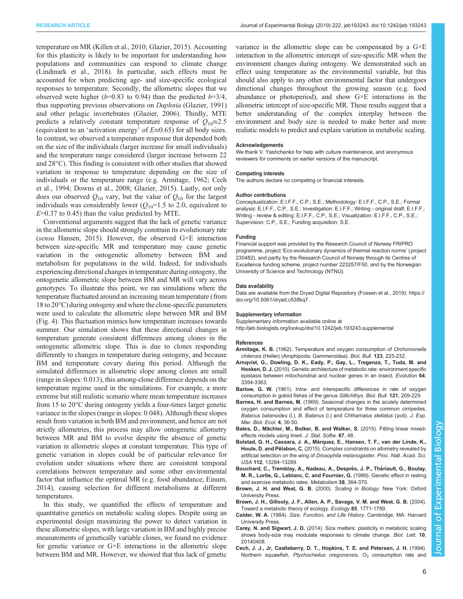<span id="page-5-0"></span>temperature on MR ([Killen et al., 2010; Glazier, 2015](#page-6-0)). Accounting for this plasticity is likely to be important for understanding how populations and communities can respond to climate change [\(Lindmark et al., 2018](#page-6-0)). In particular, such effects must be accounted for when predicting age- and size-specific ecological responses to temperature. Secondly, the allometric slopes that we observed were higher ( $b=0.83$  to 0.94) than the predicted  $b=3/4$ , thus supporting previous observations on Daphnia [\(Glazier, 1991\)](#page-6-0) and other pelagic invertebrates ([Glazier, 2006\)](#page-6-0). Thirdly, MTE predicts a relatively constant temperature response of  $Q_{10} \approx 2.5$ (equivalent to an 'activation energy' of  $E \approx 0.65$ ) for all body sizes. In contrast, we observed a temperature response that depended both on the size of the individuals (larger increase for small individuals) and the temperature range considered (larger increase between 22 and 28°C). This finding is consistent with other studies that showed variation in response to temperature depending on the size of individuals or the temperature range (e.g. Armitage, 1962; Cech et al., 1994; [Downs et al., 2008; Glazier, 2015](#page-6-0)). Lastly, not only does our observed  $Q_{10}$  vary, but the value of  $Q_{10}$  for the largest individuals was considerably lower  $(Q_{10}=1.5$  to 2.0, equivalent to  $E=0.37$  to 0.45) than the value predicted by MTE.

Conventional arguments suggest that the lack of genetic variance in the allometric slope should strongly constrain its evolutionary rate (sensu [Hansen, 2015](#page-6-0)). However, the observed G×E interaction between size-specific MR and temperature may cause genetic variation in the ontogenetic allometry between BM and metabolism for populations in the wild. Indeed, for individuals experiencing directional changes in temperature during ontogeny, the ontogenetic allometric slope between BM and MR will vary across genotypes. To illustrate this point, we ran simulations where the temperature fluctuated around an increasing mean temperature (from 18 to 20°C) during ontogeny and where the clone-specific parameters were used to calculate the allometric slope between MR and BM [\(Fig. 4\)](#page-4-0). This fluctuation mimics how temperature increases towards summer. Our simulation shows that these directional changes in temperature generate consistent differences among clones in the ontogenetic allometric slope. This is due to clones responding differently to changes in temperature during ontogeny, and because BM and temperature covary during this period. Although the simulated differences in allometric slope among clones are small (range in slopes: 0.013), this among-clone difference depends on the temperature regime used in the simulations. For example, a more extreme but still realistic scenario where mean temperature increases from 15 to 20°C during ontogeny yields a four-times larger genetic variance in the slopes (range in slopes: 0.048). Although these slopes result from variation in both BM and environment, and hence are not strictly allometries, this process may allow ontogenetic allometry between MR and BM to evolve despite the absence of genetic variation in allometric slopes at constant temperature. This type of genetic variation in slopes could be of particular relevance for evolution under situations where there are consistent temporal correlations between temperature and some other environmental factor that influence the optimal MR (e.g. food abundance; [Einum,](#page-6-0) [2014\)](#page-6-0), causing selection for different metabolisms at different temperatures.

In this study, we quantified the effects of temperature and quantitative genetics on metabolic scaling slopes. Despite using an experimental design maximizing the power to detect variation in these allometric slopes, with large variation in BM and highly precise measurements of genetically variable clones, we found no evidence for genetic variance or G×E interactions in the allometric slope between BM and MR. However, we showed that this lack of genetic

variance in the allometric slope can be compensated by a G×E interaction in the allometric intercept of size-specific MR when the environment changes during ontogeny. We demonstrated such an effect using temperature as the environmental variable, but this should also apply to any other environmental factor that undergoes directional changes throughout the growing season (e.g. food abundance or photoperiod), and show G×E interactions in the allometric intercept of size-specific MR. These results suggest that a better understanding of the complex interplay between the environment and body size is needed to make better and more realistic models to predict and explain variation in metabolic scaling.

#### Acknowledgements

We thank V. Yashchenko for help with culture maintenance, and anonymous reviewers for comments on earlier versions of the manuscript.

#### Competing interests

The authors declare no competing or financial interests.

#### Author contributions

Conceptualization: E.I.F.F., C.P., S.E.; Methodology: E.I.F.F., C.P., S.E.; Formal analysis: E.I.F.F., C.P., S.E.; Investigation: E.I.F.F.; Writing - original draft: E.I.F.F.; Writing - review & editing: E.I.F.F., C.P., S.E.; Visualization: E.I.F.F., C.P., S.E.; Supervision: C.P., S.E.; Funding acquisition: S.E.

#### Funding

Financial support was provided by the Research Council of Norway FRIPRO programme, project 'Eco-evolutionary dynamics of thermal reaction norms' (project 230482), and partly by the Research Council of Norway through its Centres of Excellence funding scheme, project number 223257/F50, and by the Norwegian University of Science and Technology (NTNU).

#### Data availability

Data are available from the Dryad Digital Repository ([Fossen et al., 2019\)](#page-6-0): [https://](https://doi.org/10.5061/dryad.c538kq7) [doi.org/10.5061/dryad.c538kq7.](https://doi.org/10.5061/dryad.c538kq7)

#### Supplementary information

Supplementary information available online at

<http://jeb.biologists.org/lookup/doi/10.1242/jeb.193243.supplemental>

#### References

- Armitage, K. B. [\(1962\). Temperature and oxygen consumption of](https://doi.org/10.2307/1539269) Orchomonella chilensis [\(Heller\) \(Amphipoda: Gammeroidea\).](https://doi.org/10.2307/1539269) Biol. Bull. 123, 225-232.
- [Arnqvist, G., Dowling, D. K., Eady, P., Gay, L., Tregenza, T., Tuda, M. and](https://doi.org/10.1111/j.1558-5646.2010.01135.x) Hosken, D. J. [\(2010\). Genetic architecture of metabolic rate: environment specific](https://doi.org/10.1111/j.1558-5646.2010.01135.x) [epistasis between mitochondrial and nuclear genes in an insect.](https://doi.org/10.1111/j.1558-5646.2010.01135.x) Evolution 64, [3354-3363.](https://doi.org/10.1111/j.1558-5646.2010.01135.x)
- Barlow, G. W. [\(1961\). Intra- and interspecific differences in rate of oxygen](https://doi.org/10.2307/1539427) [consumption in gobiid fishes of the genus](https://doi.org/10.2307/1539427) Gillichthys. Biol. Bull. 121, 209-229.
- Barnes, H. and Barnes, M. [\(1969\). Seasonal changes in the acutely determined](https://doi.org/10.1016/0022-0981(69)90022-7) [oxygen consumption and effect of temperature for three common cirripedes,](https://doi.org/10.1016/0022-0981(69)90022-7) Balanus balanoides (I.), B. Balanus (I.) and [Chthamalus stellatus](https://doi.org/10.1016/0022-0981(69)90022-7) (poli). J. Exp. [Mar. Biol. Ecol.](https://doi.org/10.1016/0022-0981(69)90022-7) 4, 36-50.
- Bates, D., Mä[chler, M., Bolker, B. and Walker, S.](https://doi.org/10.18637/jss.v067.i01) (2015). Fitting linear mixed[effects models using lme4.](https://doi.org/10.18637/jss.v067.i01) J. Stat. Softw. 67, 48.
- Bolstad, G. H., Cassara, J. A., Má[rquez, E., Hansen, T. F., van der Linde, K.,](https://doi.org/10.1073/pnas.1505357112) Houle, D. and Pélabon, C. [\(2015\). Complex constraints on allometry revealed by](https://doi.org/10.1073/pnas.1505357112) [artificial selection on the wing of](https://doi.org/10.1073/pnas.1505357112) Drosophila melanogaster. Proc. Natl. Acad. Sci. USA 112[, 13284-13289.](https://doi.org/10.1073/pnas.1505357112)
- Bouchard, C., Tremblay, A., Nadeau, A., Després, J. P., Thériault, G., Boulay, [M. R., Lortie, G., Leblanc, C. and Fournier, G.](https://doi.org/10.1016/0026-0495(89)90126-1) (1989). Genetic effect in resting [and exercise metabolic rates.](https://doi.org/10.1016/0026-0495(89)90126-1) Metabolism 38, 364-370.
- Brown, J. H. and West, G. B. (2000). Scaling in Biology. New York: Oxford University Press.
- [Brown, J. H., Gillooly, J. F., Allen, A. P., Savage, V. M. and West, G. B.](https://doi.org/10.1890/03-9000) (2004). [Toward a metabolic theory of ecology.](https://doi.org/10.1890/03-9000) Ecology 85, 1771-1789.
- Calder, W. A. (1984). Size, Function, and Life History. Cambridge, MA: Harvard University Press.
- Carey, N. and Sigwart, J. D. [\(2014\). Size matters: plasticity in metabolic scaling](https://doi.org/10.1098/rsbl.2014.0408) [shows body-size may modulate responses to climate change.](https://doi.org/10.1098/rsbl.2014.0408) Biol. Lett. 10, [20140408.](https://doi.org/10.1098/rsbl.2014.0408)
- [Cech, J. J., Jr, Castleberry, D. T., Hopkins, T. E. and Petersen, J. H.](https://doi.org/10.1139/f94-002) (1994). Northern squawfish, [Ptychocheilus oregonensis](https://doi.org/10.1139/f94-002),  $O<sub>2</sub>$  [consumption rate and](https://doi.org/10.1139/f94-002)